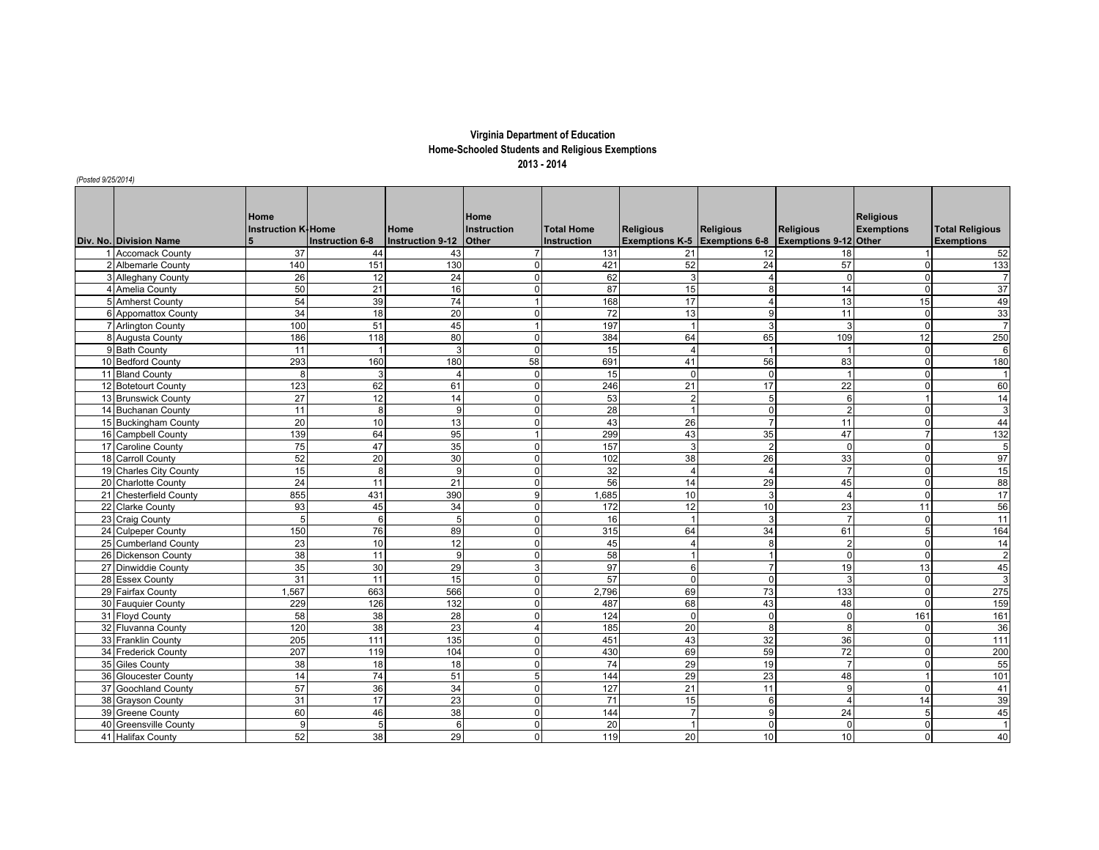## **Virginia Department of Education Home-Schooled Students and Religious Exemptions 2013 - 2014**

*(Posted 9/25/2014)*

| Div. No. Division Name | Home<br><b>Instruction K-Home</b><br>5 | <b>Instruction 6-8</b> | Home<br><b>Instruction 9-12</b> | Home<br><b>Instruction</b><br>Other | <b>Total Home</b><br><b>Instruction</b> | <b>Religious</b><br><b>Exemptions K-5 Exemptions 6-8</b> | <b>Religious</b> | <b>Religious</b><br>Exemptions 9-12 Other | <b>Religious</b><br><b>Exemptions</b> | <b>Total Religious</b><br><b>Exemptions</b> |
|------------------------|----------------------------------------|------------------------|---------------------------------|-------------------------------------|-----------------------------------------|----------------------------------------------------------|------------------|-------------------------------------------|---------------------------------------|---------------------------------------------|
| 1 Accomack County      | 37                                     | 44                     | 43                              |                                     | 131                                     | 21                                                       | 12               | 18                                        |                                       | 52                                          |
| 2 Albemarle County     | 140                                    | 151                    | 130                             | $\Omega$                            | 421                                     | 52                                                       | 24               | 57                                        | $\Omega$                              | 133                                         |
| 3 Alleghany County     | 26                                     | 12                     | 24                              | $\Omega$                            | 62                                      | 3                                                        |                  | $\Omega$                                  | $\Omega$                              | $\overline{7}$                              |
| 4 Amelia County        | 50                                     | 21                     | 16                              | $\Omega$                            | 87                                      | 15                                                       | 8                | 14                                        | $\Omega$                              | 37                                          |
| 5 Amherst County       | 54                                     | 39                     | 74                              | $\mathbf{1}$                        | 168                                     | 17                                                       | $\overline{4}$   | 13                                        | 15                                    | 49                                          |
| 6 Appomattox County    | 34                                     | 18                     | 20                              | $\overline{0}$                      | 72                                      | 13                                                       | 9                | 11                                        | 0                                     | 33                                          |
| 7 Arlington County     | 100                                    | 51                     | 45                              | 1                                   | 197                                     |                                                          | 3                |                                           | $\Omega$                              | $\overline{7}$                              |
| 8 Augusta County       | 186                                    | 118                    | 80                              | $\Omega$                            | 384                                     | 64                                                       | 65               | 109                                       | 12                                    | 250                                         |
| 9 Bath County          | 11                                     | $\overline{1}$         | 3                               | $\Omega$                            | 15                                      | $\overline{4}$                                           | $\overline{1}$   |                                           | $\Omega$                              | 6                                           |
| 10 Bedford County      | 293                                    | 160                    | 180                             | 58                                  | 691                                     | 41                                                       | 56               | 83                                        | $\mathbf 0$                           | 180                                         |
| 11 Bland County        | 8                                      | 3                      | $\overline{4}$                  | $\overline{0}$                      | 15                                      | $\Omega$                                                 | $\mathbf 0$      |                                           | 0                                     | 1                                           |
| 12 Botetourt County    | 123                                    | 62                     | 61                              | $\Omega$                            | 246                                     | 21                                                       | 17               | 22                                        | $\Omega$                              | 60                                          |
| 13 Brunswick County    | 27                                     | 12                     | 14                              | $\Omega$                            | 53                                      | $\overline{2}$                                           | 5                | 6                                         | $\mathbf{1}$                          | 14                                          |
| 14 Buchanan County     | 11                                     | 8                      | 9                               | $\overline{0}$                      | 28                                      |                                                          | $\mathbf 0$      | $\mathcal{P}$                             | $\mathbf 0$                           | 3                                           |
| 15 Buckingham County   | 20                                     | 10 <sup>1</sup>        | 13                              | $\Omega$                            | 43                                      | 26                                                       | $\overline{7}$   | 11                                        | $\Omega$                              | 44                                          |
| 16 Campbell County     | 139                                    | 64                     | 95                              | 1                                   | 299                                     | 43                                                       | 35               | 47                                        | $\overline{7}$                        | 132                                         |
| 17 Caroline County     | 75                                     | 47                     | 35                              | $\overline{0}$                      | 157                                     | $\overline{3}$                                           | $\overline{2}$   | $\cap$                                    | $\mathbf 0$                           | 5                                           |
| 18 Carroll County      | 52                                     | $\overline{20}$        | 30                              | $\Omega$                            | 102                                     | 38                                                       | 26               | 33                                        | $\Omega$                              | 97                                          |
| 19 Charles City County | 15                                     | 8                      | 9                               | $\Omega$                            | 32                                      | $\overline{4}$                                           | $\overline{4}$   |                                           | $\mathbf 0$                           | 15                                          |
| 20 Charlotte County    | 24                                     | 11                     | 21                              | $\overline{0}$                      | 56                                      | 14                                                       | 29               | 45                                        | $\mathbf 0$                           | 88                                          |
| 21 Chesterfield County | 855                                    | 431                    | 390                             | $\overline{9}$                      | 1,685                                   | 10                                                       | 3                | $\boldsymbol{\Lambda}$                    | $\mathbf 0$                           | 17                                          |
| 22 Clarke County       | 93                                     | 45                     | 34                              | $\Omega$                            | 172                                     | 12                                                       | 10               | 23                                        | 11                                    | 56                                          |
| 23 Craig County        | 5                                      | 6                      | 5                               | $\Omega$                            | 16                                      |                                                          | 3                |                                           | $\Omega$                              | 11                                          |
| 24 Culpeper County     | 150                                    | 76                     | 89                              | $\overline{0}$                      | 315                                     | 64                                                       | 34               | 61                                        | $\overline{5}$                        | 164                                         |
| 25 Cumberland County   | 23                                     | 10                     | 12                              | $\overline{0}$                      | 45                                      | $\overline{4}$                                           | 8                |                                           | $\mathbf 0$                           | 14                                          |
| 26 Dickenson County    | 38                                     | 11                     | 9                               | $\Omega$                            | 58                                      |                                                          |                  | $\Omega$                                  | $\Omega$                              | 2                                           |
| 27 Dinwiddie County    | 35                                     | 30                     | 29                              | $\overline{3}$                      | 97                                      | $6 \overline{6}$                                         |                  | 19                                        | 13                                    | 45                                          |
| 28 Essex County        | 31                                     | 11                     | 15                              | $\Omega$                            | 57                                      | $\Omega$                                                 | $\Omega$         | 3                                         | $\Omega$                              | 3                                           |
| 29 Fairfax County      | 1,567                                  | 663                    | 566                             | $\overline{0}$                      | 2,796                                   | 69                                                       | 73               | 133                                       | $\Omega$                              | 275                                         |
| 30 Fauquier County     | 229                                    | 126                    | 132                             | $\Omega$                            | 487                                     | 68                                                       | 43               | 48                                        | $\Omega$                              | 159                                         |
| 31 Floyd County        | 58                                     | 38                     | 28                              | $\Omega$                            | 124                                     | $\Omega$                                                 | $\Omega$         |                                           | 161                                   | 161                                         |
| 32 Fluvanna County     | 120                                    | 38                     | 23                              | $\overline{4}$                      | 185                                     | 20                                                       | 8                | 8                                         | $\Omega$                              | 36                                          |
| 33 Franklin County     | 205                                    | 111                    | 135                             | $\Omega$                            | 451                                     | 43                                                       | 32               | 36                                        | $\mathbf 0$                           | $\overline{111}$                            |
| 34 Frederick County    | 207                                    | 119                    | 104                             | $\Omega$                            | 430                                     | 69                                                       | 59               | 72                                        | $\Omega$                              | 200                                         |
| 35 Giles County        | 38                                     | 18                     | 18                              | $\Omega$                            | 74                                      | 29                                                       | 19               |                                           | $\mathbf 0$                           | 55                                          |
| 36 Gloucester County   | 14                                     | $\overline{74}$        | 51                              | 5 <sup>1</sup>                      | 144                                     | 29                                                       | 23               | 48                                        | $\overline{1}$                        | 101                                         |
| 37 Goochland County    | 57                                     | 36                     | 34                              | $\Omega$                            | 127                                     | $\overline{21}$                                          | 11               | q                                         | $\Omega$                              | 41                                          |
| 38 Grayson County      | 31                                     | 17                     | 23                              | $\Omega$                            | 71                                      | 15                                                       | 6                |                                           | 14                                    | 39                                          |
| 39 Greene County       | 60                                     | 46                     | 38                              | $\Omega$                            | 144                                     |                                                          | 9                | 24                                        | 5                                     | 45                                          |
| 40 Greensville County  | 9                                      | 5 <sup>5</sup>         | 6                               | $\Omega$                            | 20                                      |                                                          | $\Omega$         | $\Omega$                                  | $\Omega$                              | $\vert$ 1                                   |
| 41 Halifax County      | 52                                     | 38                     | 29                              | $\Omega$                            | 119                                     | 20                                                       | 10               | 10                                        | $\Omega$                              | 40                                          |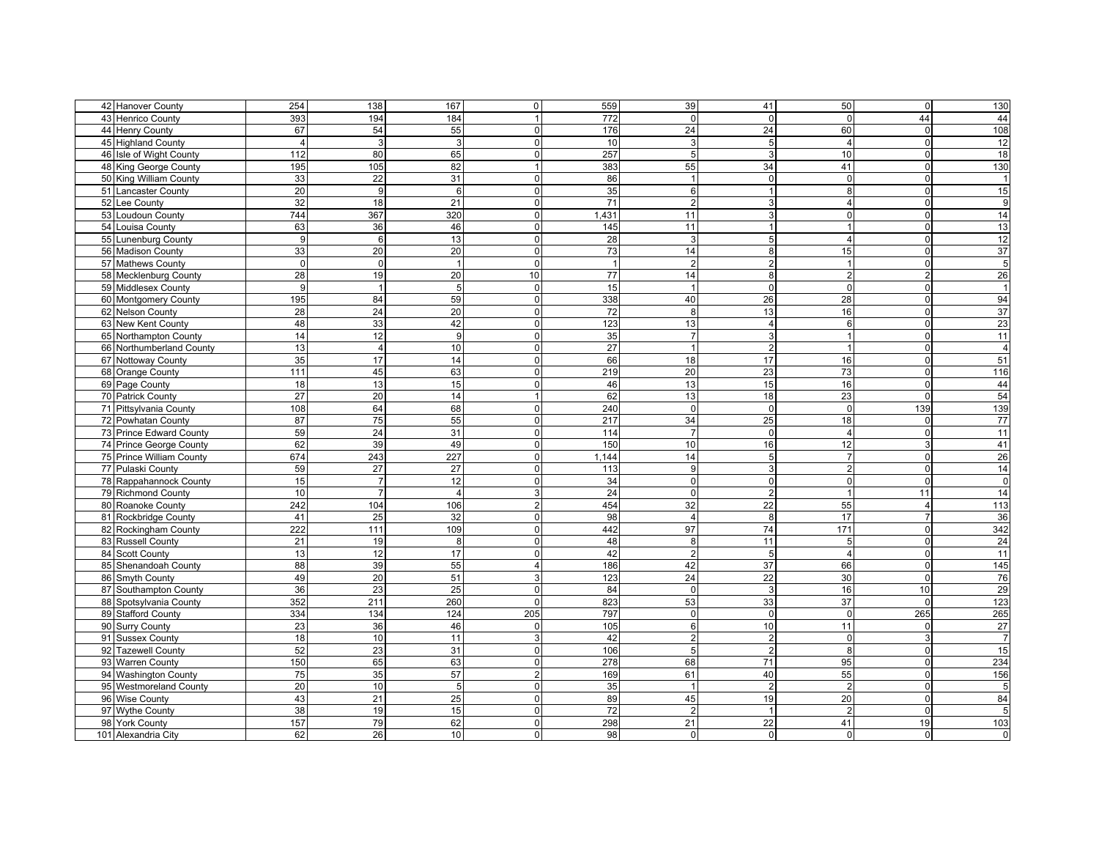| 42 Hanover County<br>254<br>138<br>167<br>$\overline{0}$<br>559<br>39                                         | 41              | 50              | $\mathbf 0$    | 130            |
|---------------------------------------------------------------------------------------------------------------|-----------------|-----------------|----------------|----------------|
| 393<br>$\overline{0}$<br>43 Henrico County<br>194<br>184<br>1 <sup>1</sup><br>772                             | $\mathbf 0$     | $\Omega$        | 44             | 44             |
| 67<br>54<br>55<br>176<br>$\overline{24}$<br>44 Henry County<br>$\overline{0}$                                 | 24              | 60              | $\mathbf 0$    | 108            |
| 10<br>45 Highland County<br>3<br>3<br>$\overline{0}$<br>3<br>$\overline{4}$                                   | 5               | $\overline{4}$  | $\mathbf 0$    | 12             |
| 112<br>$\overline{0}$<br>257<br>5 <sup>1</sup><br>46 Isle of Wight County<br>80<br>65                         | 3               | 10              | $\mathbf 0$    | 18             |
| 383<br>55<br>48 King George County<br>195<br>105<br>82<br>$\overline{1}$                                      | 34              | 41              | $\mathbf 0$    | 130            |
| 33<br>$\overline{22}$<br>31<br>$\overline{0}$<br>86<br>50 King William County<br>$\overline{1}$               | $\mathbf 0$     | $\Omega$        | $\mathbf 0$    | $\overline{1}$ |
| 20<br>35<br>$6 \overline{6}$<br>51 Lancaster County<br>9<br>$\overline{0}$<br>6                               |                 | 8               | $\pmb{0}$      | 15             |
| 52 Lee County<br>32<br>18<br>21<br>71<br>$\overline{2}$<br>$\overline{0}$                                     | 3               | $\overline{4}$  | $\mathbf 0$    | 9              |
| 53 Loudoun County<br>744<br>367<br>320<br>1,431<br>11<br>$\overline{0}$                                       | 3               | $\Omega$        | $\mathbf 0$    | 14             |
| 63<br>11<br>54 Louisa County<br>36<br>$\overline{0}$<br>145<br>46                                             |                 |                 | $\mathsf 0$    | 13             |
| 55 Lunenburg County<br>9<br>6<br>13<br>$\overline{0}$<br>28<br>$\overline{3}$                                 | 5               | $\overline{4}$  | $\mathbf 0$    | 12             |
| 20<br>73<br>56 Madison County<br>$\mathbf{0}$<br>14                                                           | 8               | 15              | $\mathbf 0$    | 37             |
| 20<br>33<br>$\overline{1}$                                                                                    | $\mathcal{P}$   |                 |                |                |
| 57 Mathews County<br>$\overline{2}$<br>$\Omega$<br>$\mathbf 0$<br>$\overline{0}$<br>$\overline{1}$            |                 |                 | $\mathbf 0$    | $\overline{5}$ |
| 77<br>58 Mecklenburg County<br>28<br>19<br>20<br>10<br>14                                                     | 8               | $\mathcal{P}$   | $\overline{2}$ | 26             |
| 15<br>59 Middlesex County<br>9<br>5<br>$\overline{0}$<br>$\overline{1}$                                       | $\mathbf 0$     | $\Omega$        | $\mathbf 0$    | $\overline{1}$ |
| 195<br>84<br>59<br>338<br>40<br>60 Montgomery County<br>$\Omega$                                              | 26              | 28              | $\overline{0}$ | 94             |
| 28<br>24<br>20<br>$\overline{0}$<br>72<br>8<br>62 Nelson County                                               | 13              | 16              | $\pmb{0}$      | 37             |
| 48<br>123<br>13<br>63 New Kent County<br>33<br>42<br>$\overline{0}$                                           | $\overline{4}$  | 6               | $\mathbf 0$    | 23             |
| 14<br>$\overline{12}$<br>35<br>65 Northampton County<br>9<br>$\overline{0}$<br>$\overline{7}$                 | 3               |                 | $\mathbf 0$    | 11             |
| 13<br>$\overline{27}$<br>66 Northumberland County<br>10<br>$\overline{0}$<br>$\overline{4}$<br>$\overline{1}$ | $\overline{2}$  |                 | $\mathbf 0$    | $\overline{4}$ |
| 35<br>17<br>14<br>$\overline{0}$<br>66<br>18<br>67 Nottoway County                                            | 17              | 16              | $\mathbf 0$    | 51             |
| 20<br>68 Orange County<br>111<br>45<br>63<br>$\Omega$<br>219                                                  | 23              | $\overline{73}$ | $\overline{0}$ | 116            |
| 18<br>13<br>15<br>$\overline{0}$<br>46<br>13<br>69 Page County                                                | 15              | 16              | $\mathbf 0$    | 44             |
| $\overline{27}$<br>20<br>62<br>70 Patrick County<br>14<br>13<br>1 <sup>1</sup>                                | 18              | 23              | $\pmb{0}$      | 54             |
| 71 Pittsylvania County<br>108<br>64<br>68<br>240<br>$\overline{0}$<br>$\overline{0}$                          | $\mathbf 0$     | $\Omega$        | 139            | 139            |
| 75<br>34<br>72 Powhatan County<br>87<br>55<br>$\overline{0}$<br>217                                           | 25              | 18              | $\overline{0}$ | 77             |
| 59<br>24<br>$\overline{7}$<br>73 Prince Edward County<br>31<br>$\Omega$<br>114                                | $\Omega$        | $\Delta$        | $\mathbf 0$    | 11             |
| 62<br>39<br>49<br>$\overline{0}$<br>150<br>10<br>74 Prince George County                                      | 16              | 12              | 3              | 41             |
| 227<br>674<br>243<br>75 Prince William County<br>$\overline{0}$<br>1,144<br>14                                | 5               |                 | $\pmb{0}$      | 26             |
| 77 Pulaski County<br>59<br>27<br>27<br>113<br>9<br>$\overline{0}$                                             | 3               | $\mathfrak{p}$  | $\mathbf 0$    | 14             |
| 15<br>$\overline{7}$<br>12<br>34<br>$\Omega$<br>78 Rappahannock County<br>$\mathbf 0$                         | $\mathbf 0$     | $\Omega$        | $\mathbf 0$    | $\mathbf 0$    |
| $\overline{7}$<br>$\overline{3}$<br>24<br>$\overline{0}$<br>79 Richmond County<br>10<br>$\overline{4}$        | $\overline{2}$  |                 | 11             | 14             |
| 242<br>104<br>106<br>454<br>$\overline{32}$<br>80 Roanoke County<br>$\overline{2}$                            | $\overline{22}$ | 55              | $\overline{4}$ | 113            |
| 25<br>32<br>98<br>81 Rockbridge County<br>41<br>$\overline{0}$<br>$\overline{4}$                              | 8               | 17              | $\overline{7}$ | 36             |
| 222<br>109<br>442<br>97<br>82 Rockingham County<br>111<br>$\overline{0}$                                      | 74              | 171             | $\pmb{0}$      | 342            |
| 48<br>$\mathbf{8}$<br>83 Russell County<br>21<br>19<br>$\overline{0}$<br>8                                    | 11              | 5               | $\overline{0}$ | 24             |
| 13<br>42<br>$\overline{2}$<br>84 Scott County<br>12<br>17<br>$\overline{0}$                                   | 5               | $\overline{4}$  | $\mathbf 0$    | 11             |
| 88<br>39<br>55<br>$\overline{4}$<br>186<br>42<br>85 Shenandoah County                                         | 37              | 66              | $\overline{0}$ | 145            |
| 49<br>$\overline{20}$<br>51<br>123<br>24<br>86 Smyth County<br>3                                              | 22              | 30              | $\mathbf 0$    | 76             |
| 36<br>23<br>25<br>$\overline{0}$<br>87 Southampton County<br>$\overline{0}$<br>84                             | 3               | 16              | 10             | 29             |
| 352<br>260<br>823<br>53<br>88 Spotsylvania County<br>211<br>$\Omega$                                          | 33              | 37              | $\Omega$       | 123            |
| 89 Stafford County<br>334<br>134<br>124<br>205<br>797<br>$\overline{0}$                                       | $\mathbf 0$     | $\Omega$        | 265            | 265            |
| 23<br>36<br>46<br>105<br>$6 \overline{6}$<br>90 Surry County<br>$\overline{0}$                                | 10              | 11              | $\mathbf 0$    | 27             |
| $\overline{2}$<br>91 Sussex County<br>18<br>10<br>11<br>3 <sup>1</sup><br>42                                  | $\overline{2}$  | $\Omega$        | 3              | $\overline{7}$ |
| 52<br>92 Tazewell County<br>23<br>31<br>$\overline{0}$<br>106<br>5 <sup>1</sup>                               | $\overline{2}$  | 8               | $\mathbf 0$    | 15             |
| 150<br>63<br>$\overline{0}$<br>68<br>93 Warren County<br>65<br>278                                            | 71              | 95              | $\pmb{0}$      | 234            |
| 75<br>57<br>61<br>94 Washington County<br>35<br>$\overline{2}$<br>169                                         | 40              | 55              | $\pmb{0}$      | 156            |
| 20<br>10<br>35<br>95 Westmoreland County<br>$5\phantom{.0}$<br>$\mathbf 0$<br>$\overline{1}$                  | $\overline{2}$  | $\overline{2}$  | $\mathbf 0$    | $\overline{5}$ |
| 96 Wise County<br>43<br>21<br>25<br>$\Omega$<br>89<br>45                                                      | 19              | 20              | $\pmb{0}$      | 84             |
| 38<br>15<br>72<br>$\overline{2}$<br>97 Wythe County<br>19<br>$\Omega$                                         |                 |                 | $\mathbf 0$    | 5              |
| 157<br>79<br>62<br>298<br>$\overline{21}$<br>98 York County<br>$\overline{0}$                                 | $\overline{22}$ | 41              | 19             | 103            |
| 101 Alexandria City<br>26<br>62<br>10<br>$\Omega$<br>98<br>$\Omega$                                           | $\Omega$        | $\Omega$        | $\mathbf 0$    | $\overline{0}$ |